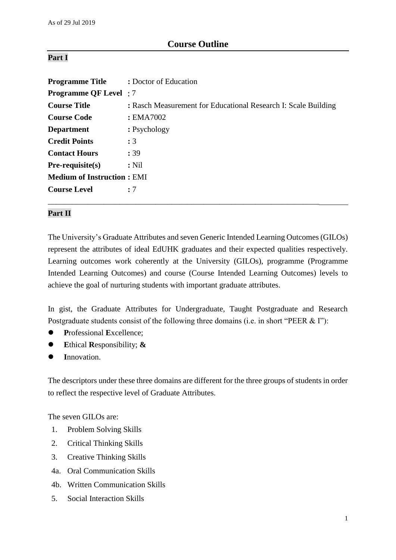# **Course Outline**

## **Part I**

| <b>Programme Title : Doctor of Education</b> |                                                                       |
|----------------------------------------------|-----------------------------------------------------------------------|
| <b>Programme QF Level</b> : 7                |                                                                       |
| <b>Course Title</b>                          | <b>:</b> Rasch Measurement for Educational Research I: Scale Building |
| <b>Course Code</b>                           | : EMA7002                                                             |
| <b>Department</b>                            | : Psychology                                                          |
| <b>Credit Points</b>                         | :3                                                                    |
| <b>Contact Hours</b>                         | : 39                                                                  |
| $Pre-requisite(s)$                           | $:$ Nil                                                               |
| <b>Medium of Instruction: EMI</b>            |                                                                       |
| <b>Course Level</b>                          | :7                                                                    |
|                                              |                                                                       |

### **Part II**

The University's Graduate Attributes and seven Generic Intended Learning Outcomes (GILOs) represent the attributes of ideal EdUHK graduates and their expected qualities respectively. Learning outcomes work coherently at the University (GILOs), programme (Programme Intended Learning Outcomes) and course (Course Intended Learning Outcomes) levels to achieve the goal of nurturing students with important graduate attributes.

In gist, the Graduate Attributes for Undergraduate, Taught Postgraduate and Research Postgraduate students consist of the following three domains (i.e. in short "PEER & I"):

- **P**rofessional **E**xcellence;
- **E**thical **R**esponsibility; **&**
- **I**nnovation.

The descriptors under these three domains are different for the three groups of students in order to reflect the respective level of Graduate Attributes.

The seven GILOs are:

- 1. Problem Solving Skills
- 2. Critical Thinking Skills
- 3. Creative Thinking Skills
- 4a. Oral Communication Skills
- 4b. Written Communication Skills
- 5. Social Interaction Skills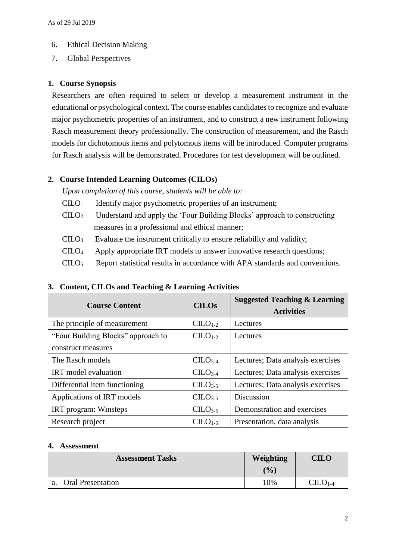- 6. Ethical Decision Making
- 7. Global Perspectives

## **1. Course Synopsis**

Researchers are often required to select or develop a measurement instrument in the educational or psychological context. The course enables candidates to recognize and evaluate major psychometric properties of an instrument, and to construct a new instrument following Rasch measurement theory professionally. The construction of measurement, and the Rasch models for dichotomous items and polytomous items will be introduced. Computer programs for Rasch analysis will be demonstrated. Procedures for test development will be outlined.

## **2. Course Intended Learning Outcomes (CILOs)**

*Upon completion of this course, students will be able to:*

- $C I L O<sub>1</sub>$  Identify major psychometric properties of an instrument;
- CILO<sup>2</sup> Understand and apply the 'Four Building Blocks' approach to constructing measures in a professional and ethical manner;
- $\text{CHO}_3$  Evaluate the instrument critically to ensure reliability and validity;
- CILO<sup>4</sup> Apply appropriate IRT models to answer innovative research questions;
- $\text{CHO}_5$  Report statistical results in accordance with APA standards and conventions.

| <b>Course Content</b>              | <b>CILOs</b>         | <b>Suggested Teaching &amp; Learning</b><br><b>Activities</b> |
|------------------------------------|----------------------|---------------------------------------------------------------|
| The principle of measurement       | $CLLO1-2$            | Lectures                                                      |
| "Four Building Blocks" approach to | $CLLO1-2$            | Lectures                                                      |
| construct measures                 |                      |                                                               |
| The Rasch models                   | $CLLO3-4$            | Lectures; Data analysis exercises                             |
| <b>IRT</b> model evaluation        | $C1LO3-4$            | Lectures; Data analysis exercises                             |
| Differential item functioning      | $CII$ <sub>2-5</sub> | Lectures; Data analysis exercises                             |
| Applications of IRT models         | $CLLO3-5$            | Discussion                                                    |
| IRT program: Winsteps              | $CLLO3-5$            | Demonstration and exercises                                   |
| Research project                   | $CLLO1-5$            | Presentation, data analysis                                   |

## **3. Content, CILOs and Teaching & Learning Activities**

### **4. Assessment**

| <b>Assessment Tasks</b>        | Weighting | CILO   |
|--------------------------------|-----------|--------|
|                                | (0/0)     |        |
| <b>Oral Presentation</b><br>a. | 10%       | $C1-4$ |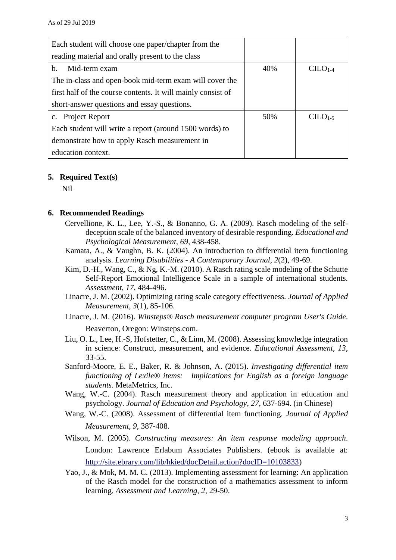| Each student will choose one paper/chapter from the          |     |           |
|--------------------------------------------------------------|-----|-----------|
| reading material and orally present to the class             |     |           |
| Mid-term exam<br>b.                                          | 40% | $C1-4$    |
| The in-class and open-book mid-term exam will cover the      |     |           |
| first half of the course contents. It will mainly consist of |     |           |
| short-answer questions and essay questions.                  |     |           |
| c. Project Report                                            | 50% | $CILO1-5$ |
| Each student will write a report (around 1500 words) to      |     |           |
| demonstrate how to apply Rasch measurement in                |     |           |
| education context.                                           |     |           |

#### **5. Required Text(s)**

Nil

#### **6. Recommended Readings**

- Cervellione, K. L., Lee, Y.-S., & Bonanno, G. A. (2009). Rasch modeling of the selfdeception scale of the balanced inventory of desirable responding. *Educational and Psychological Measurement, 69,* 438-458.
- Kamata, A., & Vaughn, B. K. (2004). An introduction to differential item functioning analysis. *Learning Disabilities - A Contemporary Journal, 2*(2), 49-69.
- Kim, D.-H., Wang, C., & Ng, K.-M. (2010). A Rasch rating scale modeling of the Schutte Self-Report Emotional Intelligence Scale in a sample of international students. *Assessment, 17,* 484-496.
- Linacre, J. M. (2002). Optimizing rating scale category effectiveness. *Journal of Applied Measurement, 3*(1), 85-106.
- Linacre, J. M. (2016). *Winsteps® Rasch measurement computer program User's Guide*. Beaverton, Oregon: Winsteps.com.
- Liu, O. L., Lee, H.-S, Hofstetter, C., & Linn, M. (2008). Assessing knowledge integration in science: Construct, measurement, and evidence. *Educational Assessment, 13,* 33-55.
- Sanford-Moore, E. E., Baker, R. & Johnson, A. (2015). *Investigating differential item functioning of Lexile® items: Implications for English as a foreign language students*. MetaMetrics, Inc.
- Wang, W.-C. (2004). Rasch measurement theory and application in education and psychology. *Journal of Education and Psychology, 27*, 637-694. (in Chinese)
- Wang, W.-C. (2008). Assessment of differential item functioning. *Journal of Applied Measurement, 9,* 387-408.
- Wilson, M. (2005). *Constructing measures: An item response modeling approach*. London: Lawrence Erlabum Associates Publishers. (ebook is available at: [http://site.ebrary.com/lib/hkied/docDetail.action?docID=10103833\)](http://site.ebrary.com/lib/hkied/docDetail.action?docID=10103833)
- Yao, J., & Mok, M. M. C. (2013). Implementing assessment for learning: An application of the Rasch model for the construction of a mathematics assessment to inform learning. *Assessment and Learning, 2,* 29-50.